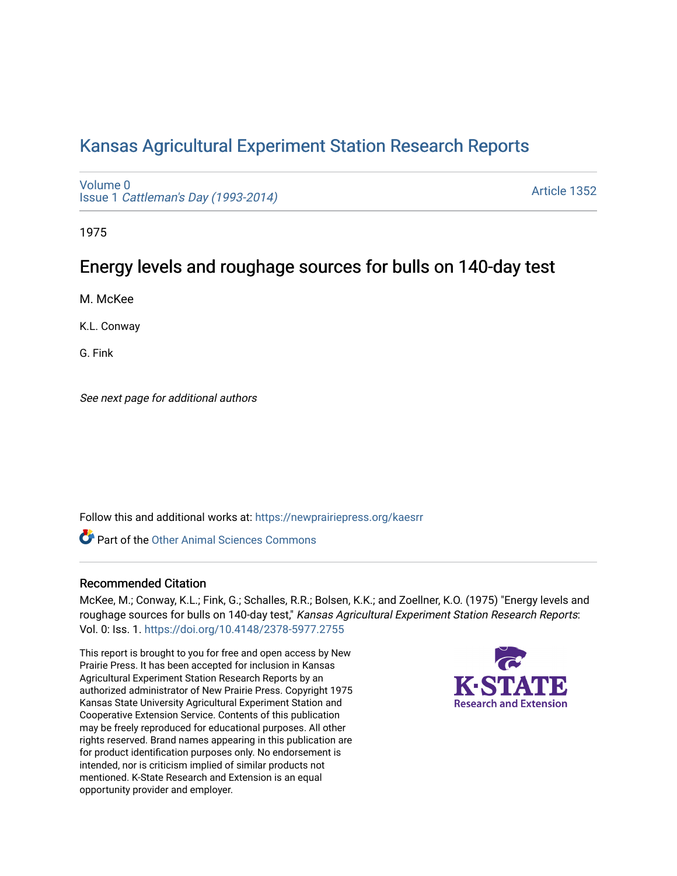# [Kansas Agricultural Experiment Station Research Reports](https://newprairiepress.org/kaesrr)

[Volume 0](https://newprairiepress.org/kaesrr/vol0) Issue 1 [Cattleman's Day \(1993-2014\)](https://newprairiepress.org/kaesrr/vol0/iss1) 

[Article 1352](https://newprairiepress.org/kaesrr/vol0/iss1/1352) 

1975

# Energy levels and roughage sources for bulls on 140-day test

M. McKee

K.L. Conway

G. Fink

See next page for additional authors

Follow this and additional works at: [https://newprairiepress.org/kaesrr](https://newprairiepress.org/kaesrr?utm_source=newprairiepress.org%2Fkaesrr%2Fvol0%2Fiss1%2F1352&utm_medium=PDF&utm_campaign=PDFCoverPages) 

**C** Part of the [Other Animal Sciences Commons](http://network.bepress.com/hgg/discipline/82?utm_source=newprairiepress.org%2Fkaesrr%2Fvol0%2Fiss1%2F1352&utm_medium=PDF&utm_campaign=PDFCoverPages)

#### Recommended Citation

McKee, M.; Conway, K.L.; Fink, G.; Schalles, R.R.; Bolsen, K.K.; and Zoellner, K.O. (1975) "Energy levels and roughage sources for bulls on 140-day test," Kansas Agricultural Experiment Station Research Reports: Vol. 0: Iss. 1. <https://doi.org/10.4148/2378-5977.2755>

This report is brought to you for free and open access by New Prairie Press. It has been accepted for inclusion in Kansas Agricultural Experiment Station Research Reports by an authorized administrator of New Prairie Press. Copyright 1975 Kansas State University Agricultural Experiment Station and Cooperative Extension Service. Contents of this publication may be freely reproduced for educational purposes. All other rights reserved. Brand names appearing in this publication are for product identification purposes only. No endorsement is intended, nor is criticism implied of similar products not mentioned. K-State Research and Extension is an equal opportunity provider and employer.

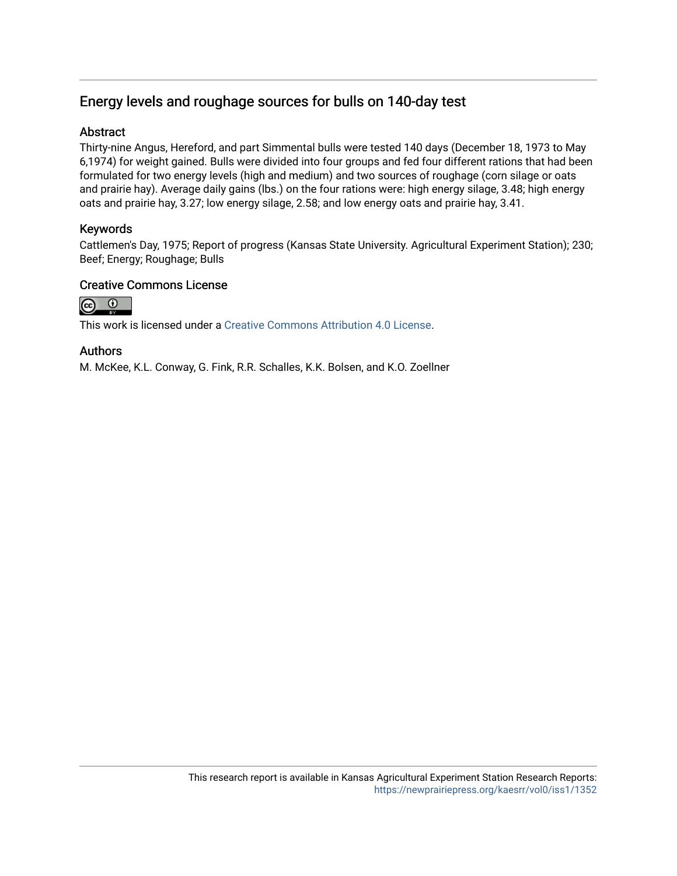### Energy levels and roughage sources for bulls on 140-day test

#### **Abstract**

Thirty-nine Angus, Hereford, and part Simmental bulls were tested 140 days (December 18, 1973 to May 6,1974) for weight gained. Bulls were divided into four groups and fed four different rations that had been formulated for two energy levels (high and medium) and two sources of roughage (corn silage or oats and prairie hay). Average daily gains (lbs.) on the four rations were: high energy silage, 3.48; high energy oats and prairie hay, 3.27; low energy silage, 2.58; and low energy oats and prairie hay, 3.41.

#### Keywords

Cattlemen's Day, 1975; Report of progress (Kansas State University. Agricultural Experiment Station); 230; Beef; Energy; Roughage; Bulls

#### Creative Commons License



This work is licensed under a [Creative Commons Attribution 4.0 License](https://creativecommons.org/licenses/by/4.0/).

#### Authors

M. McKee, K.L. Conway, G. Fink, R.R. Schalles, K.K. Bolsen, and K.O. Zoellner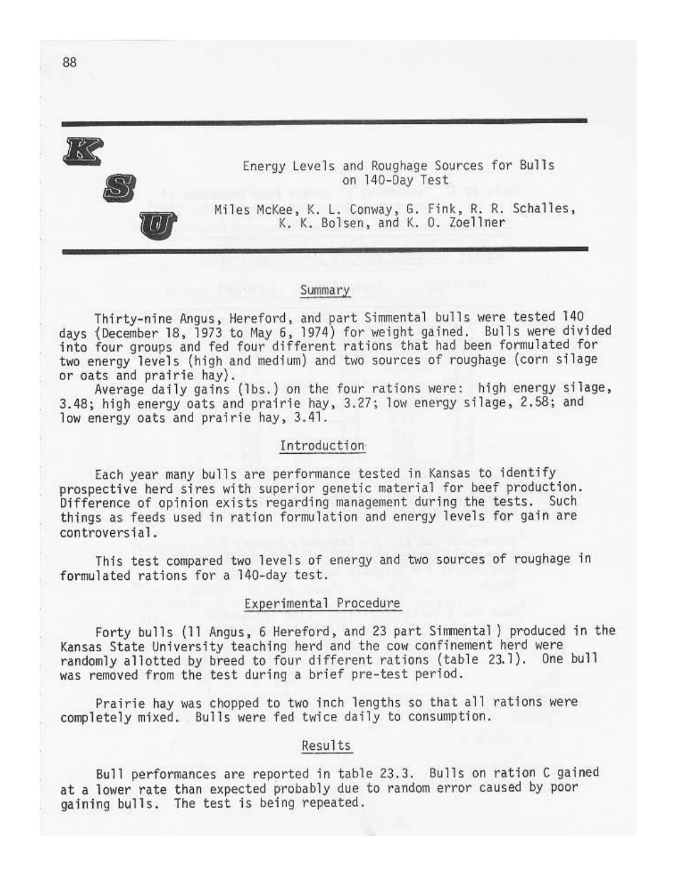

Energy Levels and Roughage Sources for Bulls on 140-Day Test

Miles McKee, K. L. Conway, G. Fink, R. R. Schalles, K. K. Bolsen, and K. O. Zoellner

#### Summary

Thirty-nine Angus, Hereford, and part Simmental bulls were tested 140 days (December 18, 1973 to May 6, 1974) for weight gained. Bulls were divided<br>into four groups and fed four different rations that had been formulated for two energy levels (high and medium) and two sources of roughage (corn silage or oats and prairie hay).

Average daily gains (lbs.) on the four rations were: high energy silage, 3.48; high energy oats and prairie hay, 3.27; low energy silage, 2.58; and low energy oats and prairie hay, 3.41.

#### Introduction

Each year many bulls are performance tested in Kansas to identify prospective herd sires with superior genetic material for beef production. Difference of opinion exists regarding management during the tests. Such things as feeds used in ration formulation and energy levels for gain are controversial.

This test compared two levels of energy and two sources of roughage in formulated rations for a 140-day test.

#### Experimental Procedure

Forty bulls (11 Angus, 6 Hereford, and 23 part Simmental) produced in the Kansas State University teaching herd and the cow confinement herd were randomly allotted by breed to four different rations (table 23.1). One bull was removed from the test during a brief pre-test period.

Prairie hay was chopped to two inch lengths so that all rations were completely mixed. Bulls were fed twice daily to consumption.

### Results

Bull performances are reported in table 23.3. Bulls on ration C gained at a lower rate than expected probably due to random error caused by poor gaining bulls. The test is being repeated.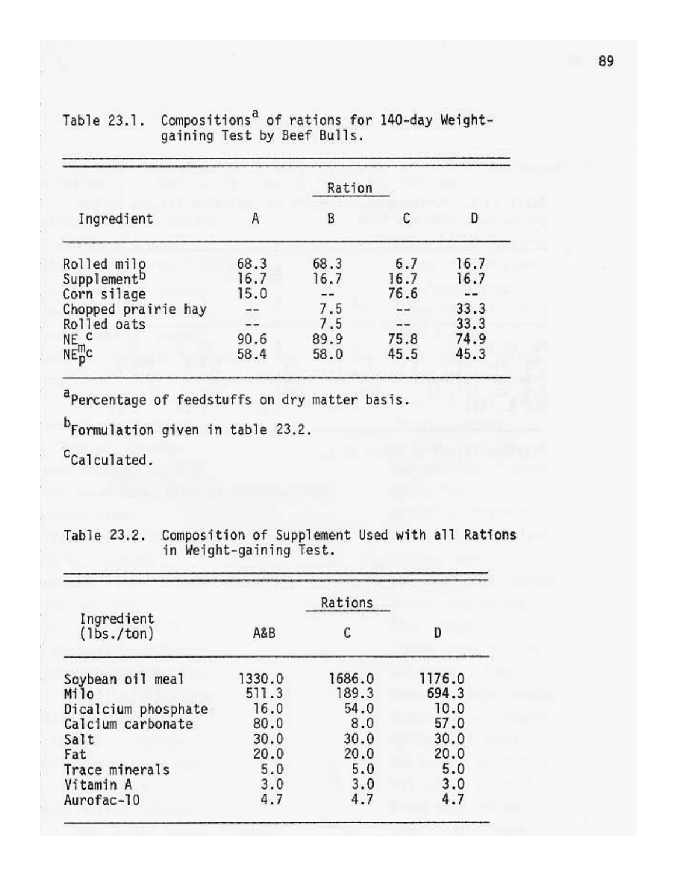|                     |      | Ration |      |      |
|---------------------|------|--------|------|------|
| Ingredient          | Α    | B      | C    | Ð    |
| Rolled milo         | 68.3 | 68.3   | 6.7  | 16.7 |
| Supplementb         | 16.7 | 16.7   | 16.7 | 16.7 |
| Corn silage         | 15.0 |        | 76.6 |      |
| Chopped prairie hay |      | 7.5    |      | 33.3 |
| Rolled oats         |      | 7.5    | --   | 33.3 |
|                     | 90.6 | 89.9   | 75.8 | 74.9 |
| $NE_{N}^{C}$        | 58.4 | 58.0   | 45.5 | 45.3 |

### Compositions<sup>a</sup> of rations for 140-day Weight-<br>gaining Test by Beef Bulls. Table 23.1.

aPercentage of feedstuffs on dry matter basis.

b<sub>Formulation given in table 23.2.</sub>

<sup>C</sup>Calculated.

| Ingredient<br>(lbs./ton) | A&B    |        | D      |  |
|--------------------------|--------|--------|--------|--|
| Soybean oil meal         | 1330.0 | 1686.0 | 1176.0 |  |
| Milo                     | 511.3  | 189.3  | 694.3  |  |
| Dicalcium phosphate      | 16.0   | 54.0   | 10.0   |  |
| Calcium carbonate        | 80.0   | 8.0    | 57.0   |  |
| Salt                     | 30.0   | 30.0   | 30.0   |  |
| Fat                      | 20.0   | 20.0   | 20.0   |  |
| Trace minerals           | 5.0    | 5.0    | 5.0    |  |
| Vitamin A                | 3.0    | 3.0    | 3.0    |  |
| Aurofac-10               | 4.7    | 4.7    | 4.7    |  |

|  | Table 23.2. Composition of Supplement Used with all Rations |  |  |  |
|--|-------------------------------------------------------------|--|--|--|
|  | in Weight-gaining Test.                                     |  |  |  |